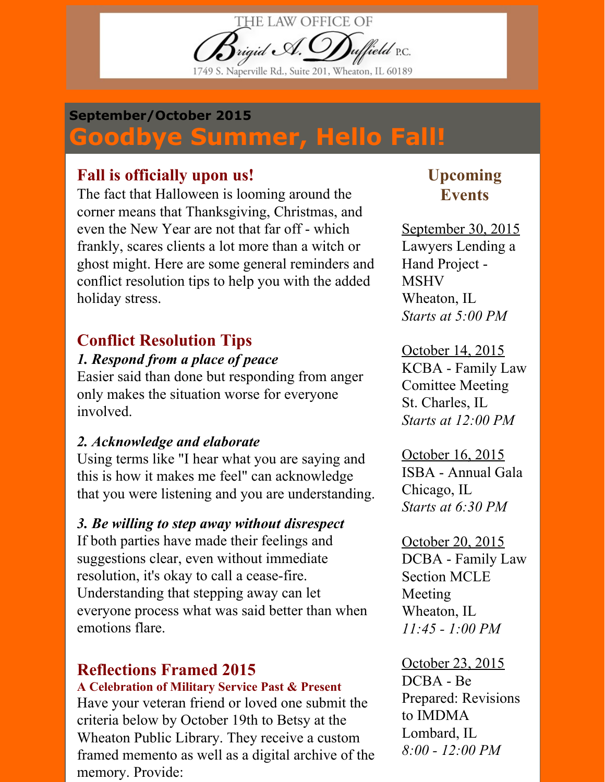THE LAW OFFICE OF  $\mathcal{B}$ rigid A. $\mathcal{O}$ uffield P.C. Naperville Rd., Suite 201, Wheaton, IL 60189

#### September/October 2015

# Goodbye Summer, Hello Fall!

### Fall is officially upon us!

The fact that Halloween is looming around the corner means that Thanksgiving, Christmas, and even the New Year are not that far off - which frankly, scares clients a lot more than a witch or ghost might. Here are some general reminders and conflict resolution tips to help you with the added holiday stress.

# Conflict Resolution Tips

#### 1. Respond from a place of peace

Easier said than done but responding from anger only makes the situation worse for everyone involved.

#### 2. Acknowledge and elaborate

Using terms like "I hear what you are saying and this is how it makes me feel" can acknowledge that you were listening and you are understanding.

#### 3. Be willing to step away without disrespect

If both parties have made their feelings and suggestions clear, even without immediate resolution, it's okay to call a cease-fire. Understanding that stepping away can let everyone process what was said better than when emotions flare.

# Reflections Framed 2015

#### A Celebration of Military Service Past & Present

Have your veteran friend or loved one submit the criteria below by October 19th to Betsy at the Wheaton Public Library. They receive a custom framed memento as well as a digital archive of the memory. Provide:

## Upcoming **Events**

September 30, 2015 Lawyers Lending a Hand Project MSHV Wheaton, IL Starts at 5:00 PM

October 14, 2015 KCBA - Family Law Comittee Meeting St. Charles, IL Starts at 12:00 PM

October 16, 2015 ISBA - Annual Gala Chicago, IL Starts at 6:30 PM

October 20, 2015 DCBA - Family Law Section MCLE Meeting Wheaton, IL  $11:45 - 1:00 PM$ 

October 23, 2015  $DCBA - Be$ Prepared: Revisions to IMDMA Lombard, IL  $8:00 - 12:00 PM$